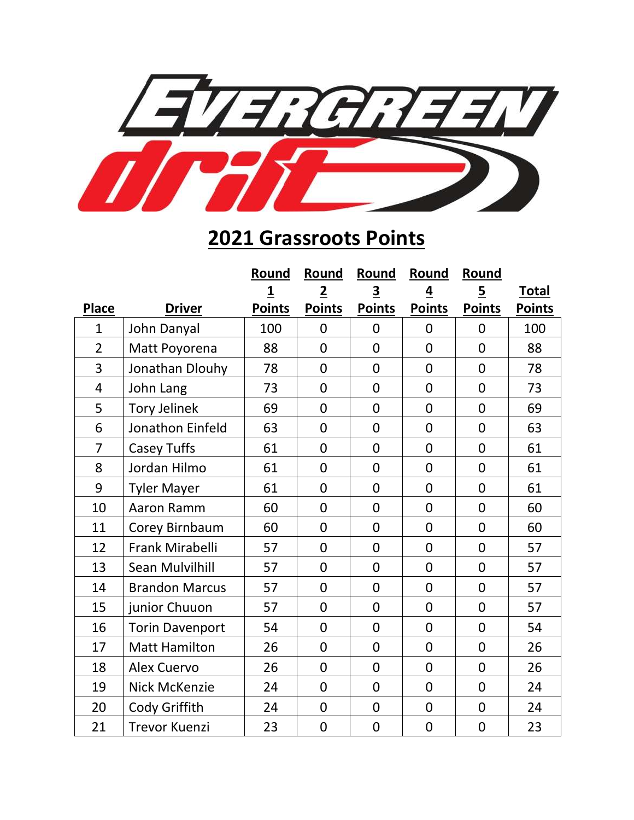

## **Grassroots Points**

|                |                        | Round                   | Round          | Round                   | Round          | Round          |               |
|----------------|------------------------|-------------------------|----------------|-------------------------|----------------|----------------|---------------|
|                |                        | $\overline{\mathbf{1}}$ | $\overline{2}$ | $\overline{\mathbf{3}}$ | $\overline{4}$ | $\overline{5}$ | <b>Total</b>  |
| <b>Place</b>   | <b>Driver</b>          | <b>Points</b>           | <b>Points</b>  | <b>Points</b>           | <b>Points</b>  | <b>Points</b>  | <b>Points</b> |
| $\mathbf{1}$   | John Danyal            | 100                     | $\mathbf 0$    | $\mathbf 0$             | $\mathbf 0$    | $\mathbf 0$    | 100           |
| $\overline{2}$ | Matt Poyorena          | 88                      | $\overline{0}$ | $\overline{0}$          | $\overline{0}$ | $\overline{0}$ | 88            |
| 3              | Jonathan Dlouhy        | 78                      | $\overline{0}$ | $\overline{0}$          | $\mathbf 0$    | $\mathbf 0$    | 78            |
| $\overline{4}$ | John Lang              | 73                      | $\overline{0}$ | $\overline{0}$          | $\overline{0}$ | $\overline{0}$ | 73            |
| 5              | <b>Tory Jelinek</b>    | 69                      | $\overline{0}$ | $\overline{0}$          | $\mathbf 0$    | $\overline{0}$ | 69            |
| 6              | Jonathon Einfeld       | 63                      | $\overline{0}$ | $\overline{0}$          | $\mathbf 0$    | $\overline{0}$ | 63            |
| 7              | <b>Casey Tuffs</b>     | 61                      | $\overline{0}$ | $\overline{0}$          | $\overline{0}$ | $\overline{0}$ | 61            |
| 8              | Jordan Hilmo           | 61                      | $\overline{0}$ | $\overline{0}$          | $\mathbf 0$    | $\overline{0}$ | 61            |
| 9              | <b>Tyler Mayer</b>     | 61                      | $\overline{0}$ | $\overline{0}$          | $\overline{0}$ | $\overline{0}$ | 61            |
| 10             | Aaron Ramm             | 60                      | $\overline{0}$ | $\overline{0}$          | $\overline{0}$ | $\overline{0}$ | 60            |
| 11             | Corey Birnbaum         | 60                      | $\overline{0}$ | $\overline{0}$          | $\overline{0}$ | $\overline{0}$ | 60            |
| 12             | Frank Mirabelli        | 57                      | $\overline{0}$ | $\overline{0}$          | $\mathbf 0$    | $\overline{0}$ | 57            |
| 13             | Sean Mulvilhill        | 57                      | $\overline{0}$ | $\overline{0}$          | $\mathbf 0$    | $\overline{0}$ | 57            |
| 14             | <b>Brandon Marcus</b>  | 57                      | $\overline{0}$ | $\overline{0}$          | $\overline{0}$ | $\overline{0}$ | 57            |
| 15             | junior Chuuon          | 57                      | $\overline{0}$ | $\overline{0}$          | $\mathbf 0$    | $\overline{0}$ | 57            |
| 16             | <b>Torin Davenport</b> | 54                      | $\overline{0}$ | $\overline{0}$          | $\mathbf 0$    | $\overline{0}$ | 54            |
| 17             | <b>Matt Hamilton</b>   | 26                      | $\mathbf 0$    | $\overline{0}$          | $\overline{0}$ | $\overline{0}$ | 26            |
| 18             | <b>Alex Cuervo</b>     | 26                      | $\overline{0}$ | $\overline{0}$          | $\mathbf 0$    | $\overline{0}$ | 26            |
| 19             | <b>Nick McKenzie</b>   | 24                      | $\overline{0}$ | $\overline{0}$          | $\mathbf 0$    | $\overline{0}$ | 24            |
| 20             | Cody Griffith          | 24                      | $\mathbf 0$    | $\overline{0}$          | $\overline{0}$ | $\mathbf 0$    | 24            |
| 21             | <b>Trevor Kuenzi</b>   | 23                      | $\overline{0}$ | $\overline{0}$          | $\overline{0}$ | $\overline{0}$ | 23            |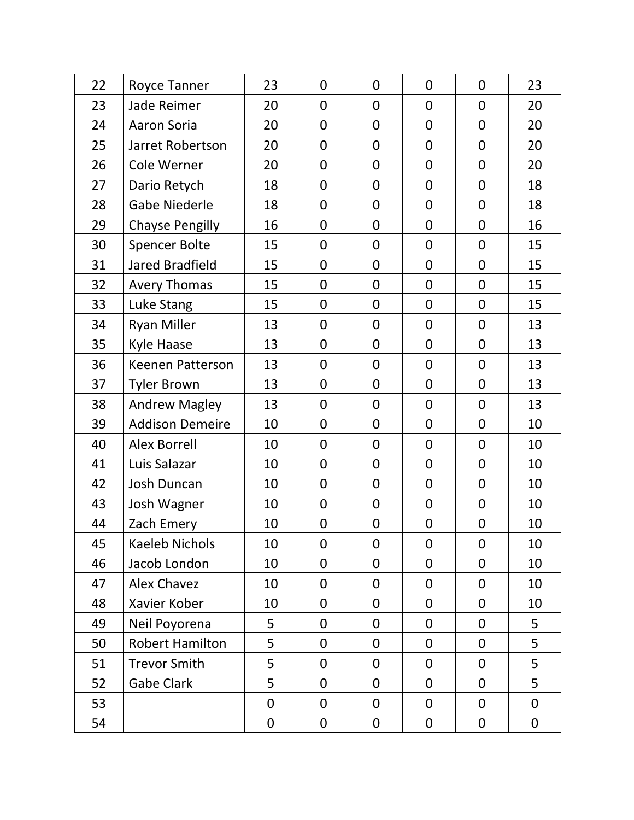| 22 | Royce Tanner            | 23          | $\mathbf 0$    | 0              | $\mathbf 0$    | $\mathbf 0$    | 23               |
|----|-------------------------|-------------|----------------|----------------|----------------|----------------|------------------|
| 23 | <b>Jade Reimer</b>      | 20          | $\overline{0}$ | 0              | $\overline{0}$ | $\overline{0}$ | 20               |
| 24 | <b>Aaron Soria</b>      | 20          | $\overline{0}$ | $\overline{0}$ | $\mathbf 0$    | $\overline{0}$ | 20               |
| 25 | Jarret Robertson        | 20          | $\overline{0}$ | $\overline{0}$ | $\mathbf 0$    | $\mathbf 0$    | 20               |
| 26 | Cole Werner             | 20          | $\mathbf 0$    | 0              | $\mathbf 0$    | $\overline{0}$ | 20               |
| 27 | Dario Retych            | 18          | $\mathbf 0$    | 0              | $\mathbf 0$    | $\mathbf 0$    | 18               |
| 28 | <b>Gabe Niederle</b>    | 18          | $\mathbf 0$    | 0              | $\mathbf 0$    | $\overline{0}$ | 18               |
| 29 | <b>Chayse Pengilly</b>  | 16          | $\overline{0}$ | $\overline{0}$ | $\mathbf 0$    | $\mathbf 0$    | 16               |
| 30 | <b>Spencer Bolte</b>    | 15          | $\mathbf 0$    | 0              | $\mathbf 0$    | $\mathbf 0$    | 15               |
| 31 | <b>Jared Bradfield</b>  | 15          | $\mathbf 0$    | 0              | $\mathbf 0$    | $\overline{0}$ | 15               |
| 32 | <b>Avery Thomas</b>     | 15          | $\mathbf 0$    | 0              | $\mathbf 0$    | $\mathbf 0$    | 15               |
| 33 | Luke Stang              | 15          | $\mathbf 0$    | $\mathbf 0$    | $\mathbf 0$    | $\overline{0}$ | 15               |
| 34 | <b>Ryan Miller</b>      | 13          | $\mathbf 0$    | 0              | $\mathbf 0$    | $\overline{0}$ | 13               |
| 35 | <b>Kyle Haase</b>       | 13          | $\overline{0}$ | $\mathbf 0$    | $\mathbf 0$    | $\mathbf 0$    | 13               |
| 36 | <b>Keenen Patterson</b> | 13          | $\overline{0}$ | 0              | $\mathbf 0$    | $\overline{0}$ | 13               |
| 37 | <b>Tyler Brown</b>      | 13          | $\mathbf 0$    | $\mathbf 0$    | $\mathbf 0$    | $\mathbf 0$    | 13               |
| 38 | <b>Andrew Magley</b>    | 13          | $\mathbf 0$    | 0              | $\mathbf 0$    | 0              | 13               |
| 39 | <b>Addison Demeire</b>  | 10          | $\mathbf 0$    | $\mathbf 0$    | $\mathbf 0$    | $\overline{0}$ | 10               |
| 40 | <b>Alex Borrell</b>     | 10          | $\mathbf 0$    | $\mathbf 0$    | $\mathbf 0$    | $\mathbf 0$    | 10               |
| 41 | Luis Salazar            | 10          | $\mathbf 0$    | 0              | $\mathbf 0$    | $\overline{0}$ | 10               |
| 42 | <b>Josh Duncan</b>      | 10          | $\overline{0}$ | $\mathbf 0$    | $\mathbf 0$    | $\mathbf 0$    | 10               |
| 43 | Josh Wagner             | 10          | $\overline{0}$ | $\mathbf 0$    | $\mathbf 0$    | $\mathbf 0$    | 10               |
| 44 | Zach Emery              | 10          | $\mathbf 0$    | $\mathbf 0$    | $\mathbf 0$    | $\mathbf 0$    | 10               |
| 45 | <b>Kaeleb Nichols</b>   | 10          | 0              | 0              | $\mathbf 0$    | $\mathbf 0$    | 10               |
| 46 | Jacob London            | 10          | 0              | 0              | 0              | $\mathbf 0$    | 10               |
| 47 | <b>Alex Chavez</b>      | 10          | 0              | 0              | $\mathbf 0$    | $\mathbf 0$    | 10               |
| 48 | Xavier Kober            | 10          | 0              | 0              | $\mathbf 0$    | $\mathbf 0$    | 10               |
| 49 | Neil Poyorena           | 5           | 0              | 0              | $\mathbf 0$    | 0              | 5                |
| 50 | <b>Robert Hamilton</b>  | 5           | 0              | 0              | 0              | 0              | 5                |
| 51 | <b>Trevor Smith</b>     | 5           | 0              | 0              | 0              | $\mathbf 0$    | 5                |
| 52 | Gabe Clark              | 5           | 0              | 0              | $\mathbf 0$    | $\overline{0}$ | 5                |
| 53 |                         | 0           | 0              | 0              | 0              | $\mathbf 0$    | $\mathbf 0$      |
| 54 |                         | $\mathbf 0$ | $\mathbf 0$    | $\mathbf 0$    | $\mathbf 0$    | $\pmb{0}$      | $\boldsymbol{0}$ |